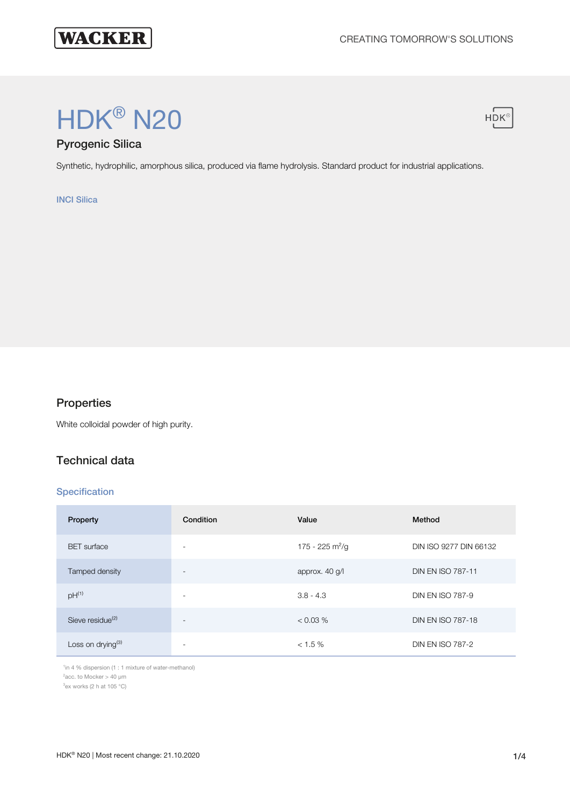

# HDK® N20



# Pyrogenic Silica

Synthetic, hydrophilic, amorphous silica, produced via flame hydrolysis. Standard product for industrial applications.

#### INCI Silica

# **Properties**

White colloidal powder of high purity.

## Technical data

#### **Specification**

| Property                      | Condition                | Value                       | Method                   |
|-------------------------------|--------------------------|-----------------------------|--------------------------|
| <b>BET</b> surface            | $\overline{\phantom{a}}$ | 175 - 225 m <sup>2</sup> /g | DIN ISO 9277 DIN 66132   |
| Tamped density                | $\overline{\phantom{0}}$ | approx. 40 g/l              | <b>DIN EN ISO 787-11</b> |
| $pH^{(1)}$                    | ۰                        | $3.8 - 4.3$                 | <b>DIN EN ISO 787-9</b>  |
| Sieve residue <sup>(2)</sup>  | $\overline{\phantom{a}}$ | < 0.03 %                    | <b>DIN EN ISO 787-18</b> |
| Loss on drying <sup>(3)</sup> | ۰                        | $< 1.5 \%$                  | <b>DIN EN ISO 787-2</b>  |

<sup>1</sup>in 4 % dispersion (1 : 1 mixture of water-methanol)

 $2$ acc. to Mocker > 40 µm

 $3$ ex works (2 h at 105  $^{\circ}$ C)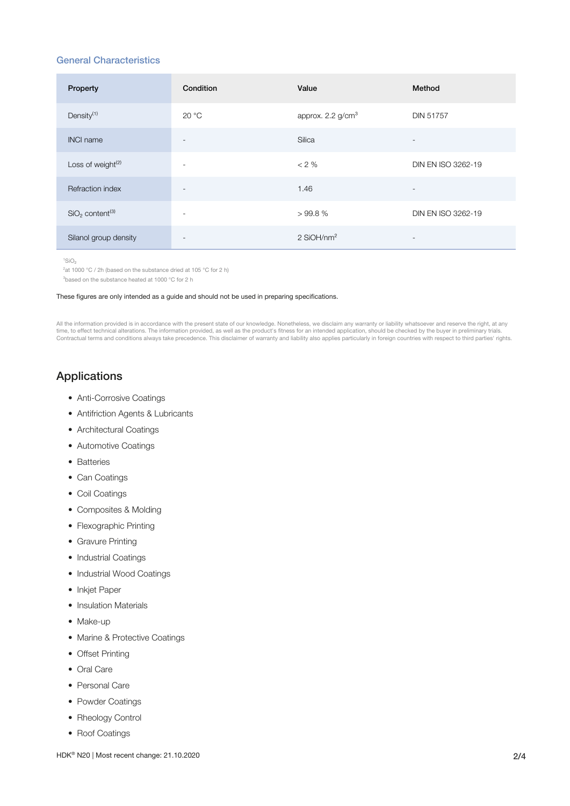#### General Characteristics

| Property                                | Condition                | Value                         | Method                   |
|-----------------------------------------|--------------------------|-------------------------------|--------------------------|
| Density <sup>(1)</sup>                  | 20 °C                    | approx. 2.2 g/cm <sup>3</sup> | <b>DIN 51757</b>         |
| <b>INCI name</b>                        | $\overline{\phantom{a}}$ | Silica                        | $\overline{\phantom{a}}$ |
| Loss of weight <sup>(2)</sup>           | $\overline{\phantom{a}}$ | $< 2 \%$                      | DIN EN ISO 3262-19       |
| Refraction index                        | $\overline{\phantom{a}}$ | 1.46                          | $\overline{\phantom{a}}$ |
| SiO <sub>2</sub> content <sup>(3)</sup> | $\overline{\phantom{a}}$ | >99.8%                        | DIN EN ISO 3262-19       |
| Silanol group density                   | -                        | $2$ SiOH/nm <sup>2</sup>      | $\overline{\phantom{a}}$ |

 $1$ SiO<sub>2</sub>

 $2$ at 1000 °C / 2h (based on the substance dried at 105 °C for 2 h)

<sup>3</sup>based on the substance heated at 1000 °C for 2 h

#### These figures are only intended as a guide and should not be used in preparing specifications.

All the information provided is in accordance with the present state of our knowledge. Nonetheless, we disclaim any warranty or liability whatsoever and reserve the right, at any<br>time, to effect technical alterations. The Contractual terms and conditions always take precedence. This disclaimer of warranty and liability also applies particularly in foreign countries with respect to third parties' rights.

# Applications

- Anti-Corrosive Coatings
- Antifriction Agents & Lubricants
- Architectural Coatings
- Automotive Coatings
- Batteries
- Can Coatings
- Coil Coatings
- Composites & Molding
- Flexographic Printing
- Gravure Printing
- Industrial Coatings
- Industrial Wood Coatings
- Inkjet Paper
- Insulation Materials
- Make-up
- Marine & Protective Coatings
- Offset Printing
- Oral Care
- Personal Care
- Powder Coatings
- Rheology Control
- Roof Coatings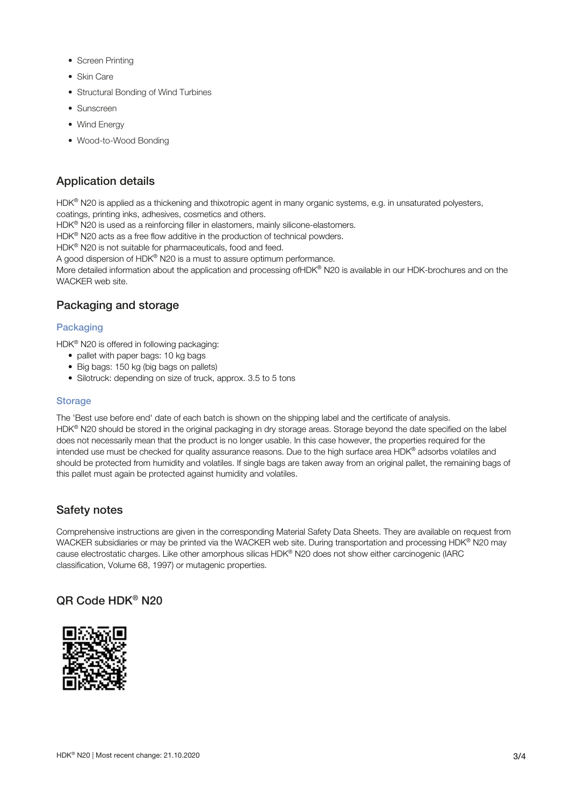- Screen Printing
- Skin Care
- Structural Bonding of Wind Turbines
- Sunscreen
- Wind Energy
- Wood-to-Wood Bonding

# Application details

HDK® N20 is applied as a thickening and thixotropic agent in many organic systems, e.g. in unsaturated polyesters, coatings, printing inks, adhesives, cosmetics and others.

HDK® N20 is used as a reinforcing filler in elastomers, mainly silicone-elastomers.

HDK<sup>®</sup> N20 acts as a free flow additive in the production of technical powders.

HDK<sup>®</sup> N20 is not suitable for pharmaceuticals, food and feed.

A good dispersion of HDK® N20 is a must to assure optimum performance.

More detailed information about the application and processing ofHDK® N20 is available in our HDK-brochures and on the WACKER web site.

# Packaging and storage

#### **Packaging**

HDK<sup>®</sup> N20 is offered in following packaging:

- pallet with paper bags: 10 kg bags
- Big bags: 150 kg (big bags on pallets)
- Silotruck: depending on size of truck, approx. 3.5 to 5 tons

#### **Storage**

The 'Best use before end' date of each batch is shown on the shipping label and the certificate of analysis. HDK® N20 should be stored in the original packaging in dry storage areas. Storage beyond the date specified on the label does not necessarily mean that the product is no longer usable. In this case however, the properties required for the intended use must be checked for quality assurance reasons. Due to the high surface area HDK® adsorbs volatiles and should be protected from humidity and volatiles. If single bags are taken away from an original pallet, the remaining bags of this pallet must again be protected against humidity and volatiles.

## Safety notes

Comprehensive instructions are given in the corresponding Material Safety Data Sheets. They are available on request from WACKER subsidiaries or may be printed via the WACKER web site. During transportation and processing HDK® N20 may cause electrostatic charges. Like other amorphous silicas HDK® N20 does not show either carcinogenic (IARC classification, Volume 68, 1997) or mutagenic properties.

# QR Code HDK® N20